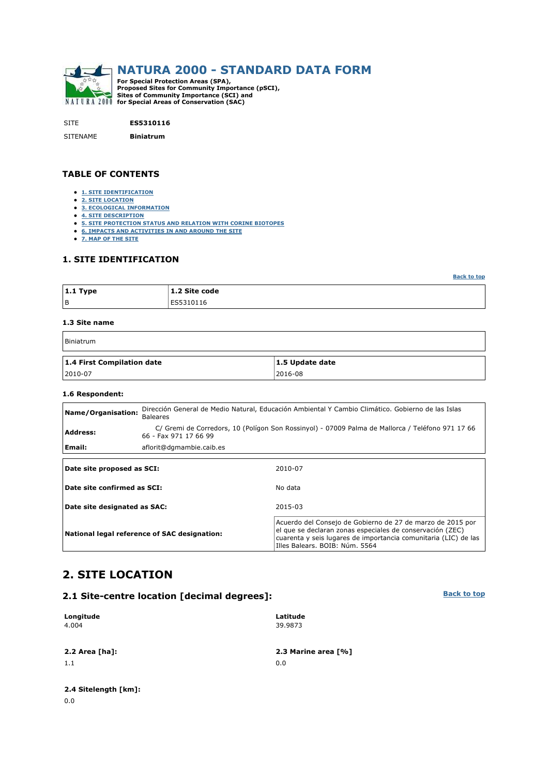

SITE **ES5310116**

SITENAME **Biniatrum**

**TABLE OF CONTENTS** 

- **1. SITE IDENTIFICATION**
- **2. SITE LOCATION**
- **3. ECOLOGICAL INFORMATION**
- **4. SITE DESCRIPTION**
- **5. SITE PROTECTION STATUS AND RELATION WITH CORINE BIOTOPES**
- **6. IMPACTS AND ACTIVITIES IN AND AROUND THE SITE**
- **7. MAP OF THE SITE**

## **1. SITE IDENTIFICATION**

| $ 1.1$ Type | 1.2 Site code |
|-------------|---------------|
| B           | ES5310116     |

#### **1.3 Site name**

| Biniatrum                  |                 |
|----------------------------|-----------------|
| 1.4 First Compilation date | 1.5 Update date |
| 2010-07                    | 2016-08         |

#### **1.6 Respondent:**

| Name/Organisation:           | <b>Baleares</b>                              | Dirección General de Medio Natural, Educación Ambiental Y Cambio Climático. Gobierno de las Islas                                                                                                            |  |  |  |  |  |
|------------------------------|----------------------------------------------|--------------------------------------------------------------------------------------------------------------------------------------------------------------------------------------------------------------|--|--|--|--|--|
| <b>Address:</b>              | 66 - Fax 971 17 66 99                        | C/ Gremi de Corredors, 10 (Polígon Son Rossinyol) - 07009 Palma de Mallorca / Teléfono 971 17 66                                                                                                             |  |  |  |  |  |
| Email:                       | aflorit@dgmambie.caib.es                     |                                                                                                                                                                                                              |  |  |  |  |  |
|                              |                                              |                                                                                                                                                                                                              |  |  |  |  |  |
| Date site proposed as SCI:   |                                              | 2010-07                                                                                                                                                                                                      |  |  |  |  |  |
| Date site confirmed as SCI:  |                                              | No data                                                                                                                                                                                                      |  |  |  |  |  |
| Date site designated as SAC: |                                              | 2015-03                                                                                                                                                                                                      |  |  |  |  |  |
|                              | National legal reference of SAC designation: | Acuerdo del Consejo de Gobierno de 27 de marzo de 2015 por<br>el que se declaran zonas especiales de conservación (ZEC)<br>and which is a starter because the two separate as a constitution of TON that has |  |  |  |  |  |

## **2. SITE LOCATION**

## **2.1 Site-centre location [decimal degrees]:**

| Longitude<br>4.004 | Latitude<br>39.9873 |
|--------------------|---------------------|
| 2.2 Area [ha]:     | 2.3 Marine area [%] |
| 1.1                | 0.0                 |
|                    |                     |

**Back to top**

cuarenta y seis lugares de importancia comunitaria (LIC) de las

Illes Balears. BOIB: Núm. 5564

**Back to top**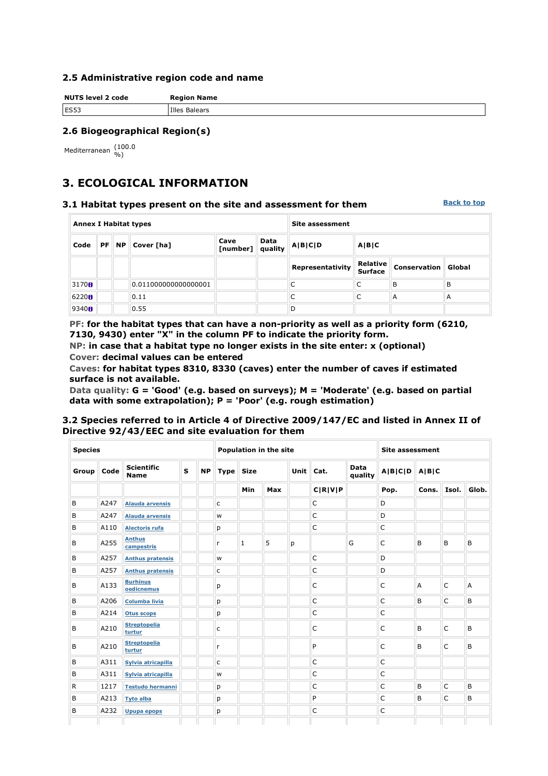### **2.5 Administrative region code and name**

| <b>NUTS level 2 code</b> | <b>Region Name</b> |
|--------------------------|--------------------|
| ES53                     | Illes Balears      |

## **2.6 Biogeographical Region(s)**

Mediterranean (100.0

# **3. ECOLOGICAL INFORMATION**

#### **3.1 Habitat types present on the site and assessment for them**

**Back to top**

| <b>Annex I Habitat types</b>                               |  |  |                            |      | <b>Site assessment</b> |                  |                                   |                     |        |  |  |
|------------------------------------------------------------|--|--|----------------------------|------|------------------------|------------------|-----------------------------------|---------------------|--------|--|--|
| $PF \, \parallel \, NP \parallel \, Cover \, [ha]$<br>Code |  |  | Cave<br>[number]   quality | Data | A B C D                | A B C            |                                   |                     |        |  |  |
|                                                            |  |  |                            |      |                        | Representativity | <b>Relative</b><br><b>Surface</b> | <b>Conservation</b> | Global |  |  |
| 3170H                                                      |  |  | 0.011000000000000001       |      |                        |                  | C                                 | B                   | B      |  |  |
| 6220H                                                      |  |  | 0.11                       |      |                        |                  | C                                 | A                   | A      |  |  |
| 9340 <sub>fl</sub>                                         |  |  | 0.55                       |      |                        | D                |                                   |                     |        |  |  |

**PF: for the habitat types that can have a non-priority as well as a priority form (6210, 7130, 9430) enter "X" in the column PF to indicate the priority form.** 

**NP: in case that a habitat type no longer exists in the site enter: x (optional) Cover: decimal values can be entered** 

**Caves: for habitat types 8310, 8330 (caves) enter the number of caves if estimated surface is not available.** 

**Data quality: G = 'Good' (e.g. based on surveys); M = 'Moderate' (e.g. based on partial data with some extrapolation); P = 'Poor' (e.g. rough estimation)** 

## **3.2 Species referred to in Article 4 of Directive 2009/147/EC and listed in Annex II of Directive 92/43/EEC and site evaluation for them**

| <b>Species</b> |      |                                  | Population in the site |           |             |             |     | <b>Site assessment</b> |         |                 |                   |       |              |       |
|----------------|------|----------------------------------|------------------------|-----------|-------------|-------------|-----|------------------------|---------|-----------------|-------------------|-------|--------------|-------|
| Group          | Code | <b>Scientific</b><br><b>Name</b> | S                      | <b>NP</b> | <b>Type</b> | <b>Size</b> |     | Unit                   | Cat.    | Data<br>quality | $A B C D$ $A B C$ |       |              |       |
|                |      |                                  |                        |           |             | Min         | Max |                        | C R V P |                 | Pop.              | Cons. | Isol.        | Glob. |
| В              | A247 | <b>Alauda arvensis</b>           |                        |           | c           |             |     |                        | C       |                 | D                 |       |              |       |
| B              | A247 | <b>Alauda arvensis</b>           |                        |           | W           |             |     |                        | C       |                 | D                 |       |              |       |
| B              | A110 | <b>Alectoris rufa</b>            |                        |           | p           |             |     |                        | C       |                 | C                 |       |              |       |
| B              | A255 | <b>Anthus</b><br>campestris      |                        |           | r           | 1           | 5   | p                      |         | G               | $\mathsf{C}$      | B     | B            | B     |
| B              | A257 | <b>Anthus pratensis</b>          |                        |           | W           |             |     |                        | C       |                 | D                 |       |              |       |
| B              | A257 | <b>Anthus pratensis</b>          |                        |           | c           |             |     |                        | C       |                 | D                 |       |              |       |
| B              | A133 | <b>Burhinus</b><br>oedicnemus    |                        |           | p           |             |     |                        | C       |                 | $\overline{C}$    | A     | C            | A     |
| B              | A206 | <b>Columba livia</b>             |                        |           | p           |             |     |                        | C       |                 | $\mathsf{C}$      | B     | $\mathsf{C}$ | B     |
| B              | A214 | <b>Otus scops</b>                |                        |           | p           |             |     |                        | C       |                 | $\overline{C}$    |       |              |       |
| B              | A210 | <b>Streptopelia</b><br>turtur    |                        |           | c           |             |     |                        | C       |                 | $\mathsf{C}$      | B     | C            | B     |
| B              | A210 | <b>Streptopelia</b><br>turtur    |                        |           | r           |             |     |                        | P       |                 | $\overline{C}$    | B     | C            | B     |
| B              | A311 | Sylvia atricapilla               |                        |           | c           |             |     |                        | C       |                 | $\mathsf{C}$      |       |              |       |
| B              | A311 | Sylvia atricapilla               |                        |           | W           |             |     |                        | C       |                 | $\overline{C}$    |       |              |       |
| R              | 1217 | <b>Testudo hermanni</b>          |                        |           | p           |             |     |                        | C       |                 | $\mathsf{C}$      | B     | $\mathsf{C}$ | B     |
| B              | A213 | <b>Tyto alba</b>                 |                        |           | p           |             |     |                        | P       |                 | C                 | B     | $\mathsf{C}$ | B     |
| B              | A232 | <b>Upupa epops</b>               |                        |           | p           |             |     |                        | C       |                 | $\mathsf{C}$      |       |              |       |
|                |      |                                  |                        |           |             |             |     |                        |         |                 |                   |       |              |       |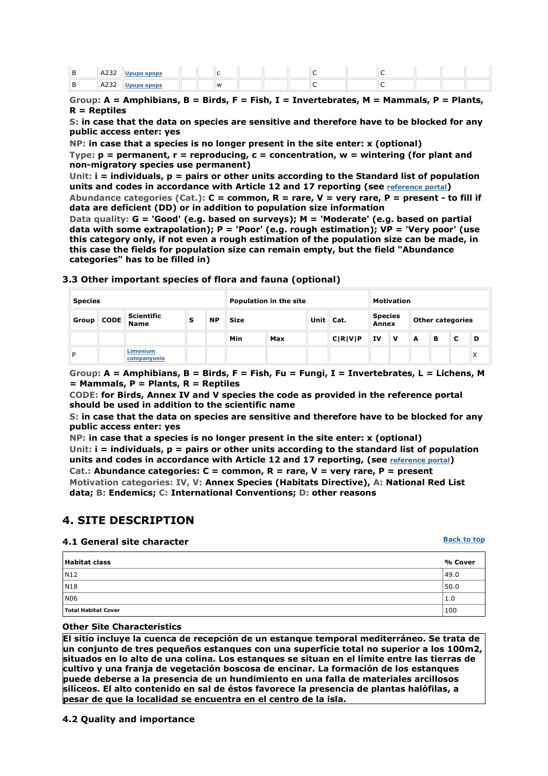| в        | 0.222<br>AZ32  | anons |          |  |  |  |  |  |
|----------|----------------|-------|----------|--|--|--|--|--|
| в<br>- ப | 0.222<br>™AZ3∡ |       | <b>M</b> |  |  |  |  |  |

**Group: A = Amphibians, B = Birds, F = Fish, I = Invertebrates, M = Mammals, P = Plants, R = Reptiles** 

**S: in case that the data on species are sensitive and therefore have to be blocked for any public access enter: yes** 

**NP: in case that a species is no longer present in the site enter: x (optional) Type: p = permanent, r = reproducing, c = concentration, w = wintering (for plant and non-migratory species use permanent)** 

**Unit: i = individuals, p = pairs or other units according to the Standard list of population units and codes in accordance with Article 12 and 17 reporting (see reference portal) Abundance categories (Cat.): C = common, R = rare, V = very rare, P = present - to fill if** 

**data are deficient (DD) or in addition to population size information Data quality: G = 'Good' (e.g. based on surveys); M = 'Moderate' (e.g. based on partial data with some extrapolation); P = 'Poor' (e.g. rough estimation); VP = 'Very poor' (use this category only, if not even a rough estimation of the population size can be made, in this case the fields for population size can remain empty, but the field "Abundance categories" has to be filled in)** 

| <b>Species</b> |                                  |   |           |            | Population in the site |  |                          |                                |     | <b>Motivation</b>       |   |   |                   |  |  |  |
|----------------|----------------------------------|---|-----------|------------|------------------------|--|--------------------------|--------------------------------|-----|-------------------------|---|---|-------------------|--|--|--|
| Group   CODE   | <b>Scientific</b><br><b>Name</b> | s | <b>NP</b> | Size       |                        |  | Unit $\vert$ Cat.        | <b>Species</b><br><b>Annex</b> |     | <b>Other categories</b> |   |   |                   |  |  |  |
|                |                                  |   |           | <b>Min</b> | Max                    |  | C[ <b>R</b> ] <b>V</b> ] | <b>IV</b>                      | ∄ V | A                       | в | с | D                 |  |  |  |
| D              | <b>Limonium</b><br>companyonis   |   |           |            |                        |  |                          |                                |     |                         |   |   | $\checkmark$<br>∧ |  |  |  |

**3.3 Other important species of flora and fauna (optional)**

**Group: A = Amphibians, B = Birds, F = Fish, Fu = Fungi, I = Invertebrates, L = Lichens, M = Mammals, P = Plants, R = Reptiles** 

**CODE: for Birds, Annex IV and V species the code as provided in the reference portal should be used in addition to the scientific name** 

**S: in case that the data on species are sensitive and therefore have to be blocked for any public access enter: yes** 

**NP: in case that a species is no longer present in the site enter: x (optional) Unit: i = individuals, p = pairs or other units according to the standard list of population units and codes in accordance with Article 12 and 17 reporting, (see reference portal) Cat.: Abundance categories: C = common, R = rare, V = very rare, P = present Motivation categories: IV, V: Annex Species (Habitats Directive), A: National Red List data; B: Endemics; C: International Conventions; D: other reasons** 

# **4. SITE DESCRIPTION**

### **4.1 General site character**

**Back to top**

| <b>Habitat class</b> | % Cover |
|----------------------|---------|
| N12                  | 49.0    |
| N <sub>18</sub>      | 50.0    |
| N06                  | 1.0     |
| Total Habitat Cover  | 100     |

**Other Site Characteristics**

**El sitio incluye la cuenca de recepción de un estanque temporal mediterráneo. Se trata de un conjunto de tres pequeños estanques con una superfície total no superior a los 100m2, situados en lo alto de una colina. Los estanques se situan en el límite entre las tierras de cultivo y una franja de vegetación boscosa de encinar. La formación de los estanques puede deberse a la presencia de un hundimiento en una falla de materiales arcillosos silíceos. El alto contenido en sal de éstos favorece la presencia de plantas halófilas, a pesar de que la localidad se encuentra en el centro de la isla.**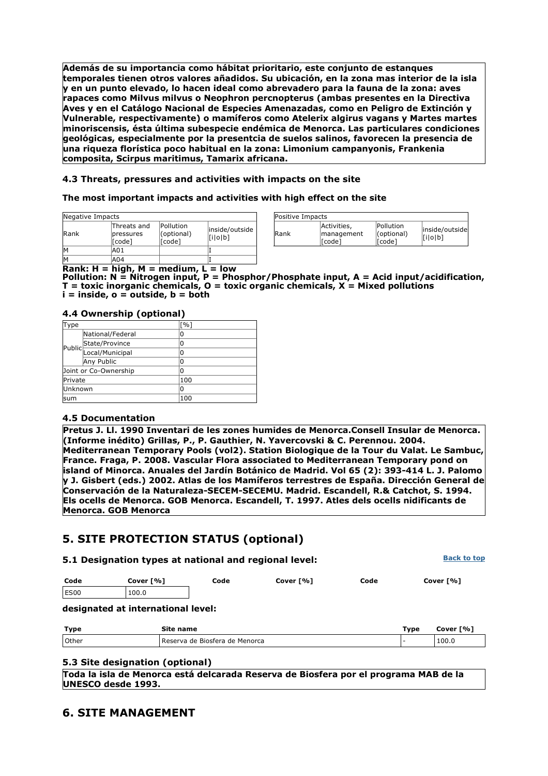**Además de su importancia como hábitat prioritario, este conjunto de estanques temporales tienen otros valores añadidos. Su ubicación, en la zona mas interior de la isla y en un punto elevado, lo hacen ideal como abrevadero para la fauna de la zona: aves rapaces como Milvus milvus o Neophron percnopterus (ambas presentes en la Directiva Aves y en el Catálogo Nacional de Especies Amenazadas, como en Peligro de Extinción y Vulnerable, respectivamente) o mamíferos como Atelerix algirus vagans y Martes martes minoriscensis, ésta última subespecie endémica de Menorca. Las particulares condiciones geológicas, especialmente por la presentcia de suelos salinos, favorecen la presencia de una riqueza florística poco habitual en la zona: Limonium campanyonis, Frankenia composita, Scirpus maritimus, Tamarix africana.**

## **4.3 Threats, pressures and activities with impacts on the site**

### **The most important impacts and activities with high effect on the site**

| Negative Impacts |                                    |                                   |                           |
|------------------|------------------------------------|-----------------------------------|---------------------------|
| <b>IRank</b>     | Threats and<br>pressures<br>[Code] | Pollution<br>(optional)<br>[code] | inside/outside<br>[i o b] |
|                  | A01                                |                                   |                           |
|                  | A04                                |                                   |                           |

| Positive Impacts |                                     |                                          |                           |
|------------------|-------------------------------------|------------------------------------------|---------------------------|
| Rank             | Activities,<br>management<br>[code] | Pollution<br>$ ($ optional $)$<br>[Code] | inside/outside<br>[i o b] |

**Rank: H = high, M = medium, L = low**

**Pollution: N = Nitrogen input, P = Phosphor/Phosphate input, A = Acid input/acidification, T = toxic inorganic chemicals, O = toxic organic chemicals, X = Mixed pollutions i = inside, o = outside, b = both** 

### **4.4 Ownership (optional)**

| Type                  |                       | $\lceil \% \rceil$ |
|-----------------------|-----------------------|--------------------|
|                       | National/Federal      | 0                  |
|                       |                       | 0                  |
|                       | Public State/Province | 0                  |
|                       | Any Public            | 0                  |
| Joint or Co-Ownership |                       | 0                  |
| <b>Private</b>        |                       | 100                |
| Unknown               |                       | 0                  |
| lsum                  |                       | 100                |

### **4.5 Documentation**

**Pretus J. Ll. 1990 Inventari de les zones humides de Menorca.Consell Insular de Menorca. (Informe inédito) Grillas, P., P. Gauthier, N. Yavercovski & C. Perennou. 2004. Mediterranean Temporary Pools (vol2). Station Biologique de la Tour du Valat. Le Sambuc, France. Fraga, P. 2008. Vascular Flora associated to Mediterranean Temporary pond on island of Minorca. Anuales del Jardín Botánico de Madrid. Vol 65 (2): 393-414 L. J. Palomo y J. Gisbert (eds.) 2002. Atlas de los Mamíferos terrestres de España. Dirección General de Conservación de la Naturaleza-SECEM-SECEMU. Madrid. Escandell, R.& Catchot, S. 1994. Els ocells de Menorca. GOB Menorca. Escandell, T. 1997. Atles dels ocells nidificants de Menorca. GOB Menorca**

# **5. SITE PROTECTION STATUS (optional)**

| 5.1 Designation types at national and regional level: |           |      |           |      | <b>Back to top</b> |
|-------------------------------------------------------|-----------|------|-----------|------|--------------------|
| Code                                                  | Cover [%] | Code | Cover [%] | Code | Cover [%]          |
| ES00                                                  | 100.0     |      |           |      |                    |
| designated at international level.                    |           |      |           |      |                    |

#### **designated at international level:**

| Type  | Site name                        | Type | Cover [%] |
|-------|----------------------------------|------|-----------|
| Other | l Reserva de Biosfera de Menorca |      | 100.0     |

### **5.3 Site designation (optional)**

**Toda la isla de Menorca está delcarada Reserva de Biosfera por el programa MAB de la UNESCO desde 1993.**

## **6. SITE MANAGEMENT**